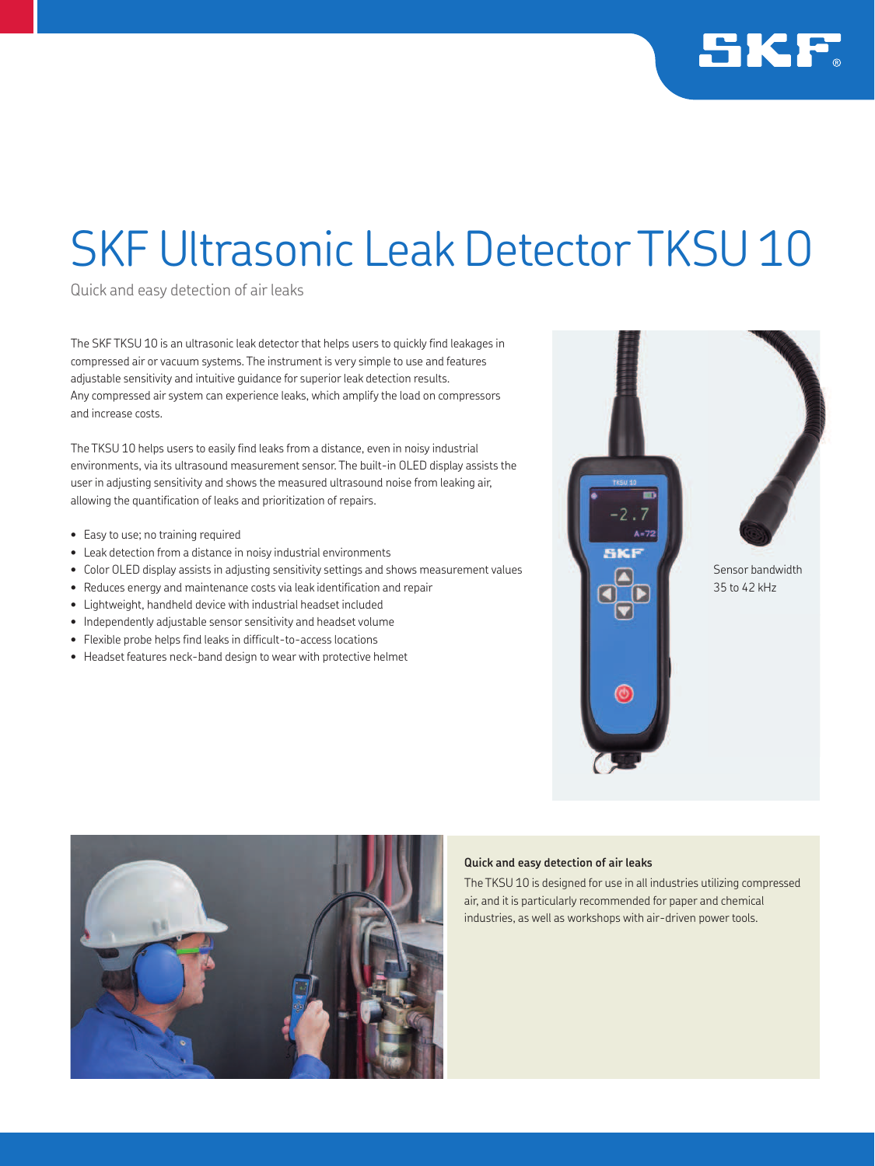

## SKF Ultrasonic Leak Detector TKSU 10

Quick and easy detection of air leaks

The SKF TKSU 10 is an ultrasonic leak detector that helps users to quickly find leakages in compressed air or vacuum systems. The instrument is very simple to use and features adjustable sensitivity and intuitive guidance for superior leak detection results. Any compressed air system can experience leaks, which amplify the load on compressors and increase costs.

The TKSU 10 helps users to easily find leaks from a distance, even in noisy industrial environments, via its ultrasound measurement sensor. The built-in OLED display assists the user in adjusting sensitivity and shows the measured ultrasound noise from leaking air, allowing the quantification of leaks and prioritization of repairs.

- Easy to use; no training required
- Leak detection from a distance in noisy industrial environments
- Color OLED display assists in adjusting sensitivity settings and shows measurement values
- Reduces energy and maintenance costs via leak identification and repair
- Lightweight, handheld device with industrial headset included
- Independently adjustable sensor sensitivity and headset volume
- Flexible probe helps find leaks in difficult-to-access locations
- Headset features neck-band design to wear with protective helmet





## **Quick and easy detection of air leaks**

The TKSU 10 is designed for use in all industries utilizing compressed air, and it is particularly recommended for paper and chemical industries, as well as workshops with air-driven power tools.